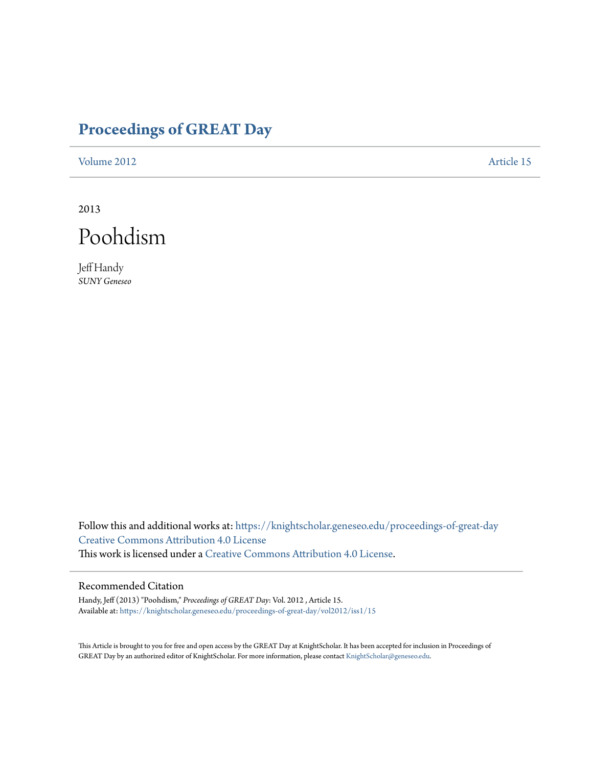## **[Proceedings of GREAT Day](https://knightscholar.geneseo.edu/proceedings-of-great-day?utm_source=knightscholar.geneseo.edu%2Fproceedings-of-great-day%2Fvol2012%2Fiss1%2F15&utm_medium=PDF&utm_campaign=PDFCoverPages)**

[Volume 2012](https://knightscholar.geneseo.edu/proceedings-of-great-day/vol2012?utm_source=knightscholar.geneseo.edu%2Fproceedings-of-great-day%2Fvol2012%2Fiss1%2F15&utm_medium=PDF&utm_campaign=PDFCoverPages) **[Article 15](https://knightscholar.geneseo.edu/proceedings-of-great-day/vol2012/iss1/15?utm_source=knightscholar.geneseo.edu%2Fproceedings-of-great-day%2Fvol2012%2Fiss1%2F15&utm_medium=PDF&utm_campaign=PDFCoverPages)** 

2013



Jeff Handy *SUNY Geneseo*

Follow this and additional works at: [https://knightscholar.geneseo.edu/proceedings-of-great-day](https://knightscholar.geneseo.edu/proceedings-of-great-day?utm_source=knightscholar.geneseo.edu%2Fproceedings-of-great-day%2Fvol2012%2Fiss1%2F15&utm_medium=PDF&utm_campaign=PDFCoverPages) [Creative Commons Attribution 4.0 License](http://creativecommons.org/licenses/by/4.0/) This work is licensed under a [Creative Commons Attribution 4.0 License.](http://creativecommons.org/licenses/by/4.0/)

## Recommended Citation

Handy, Jeff (2013) "Poohdism," *Proceedings of GREAT Day*: Vol. 2012 , Article 15. Available at: [https://knightscholar.geneseo.edu/proceedings-of-great-day/vol2012/iss1/15](https://knightscholar.geneseo.edu/proceedings-of-great-day/vol2012/iss1/15?utm_source=knightscholar.geneseo.edu%2Fproceedings-of-great-day%2Fvol2012%2Fiss1%2F15&utm_medium=PDF&utm_campaign=PDFCoverPages)

This Article is brought to you for free and open access by the GREAT Day at KnightScholar. It has been accepted for inclusion in Proceedings of GREAT Day by an authorized editor of KnightScholar. For more information, please contact [KnightScholar@geneseo.edu.](mailto:KnightScholar@geneseo.edu)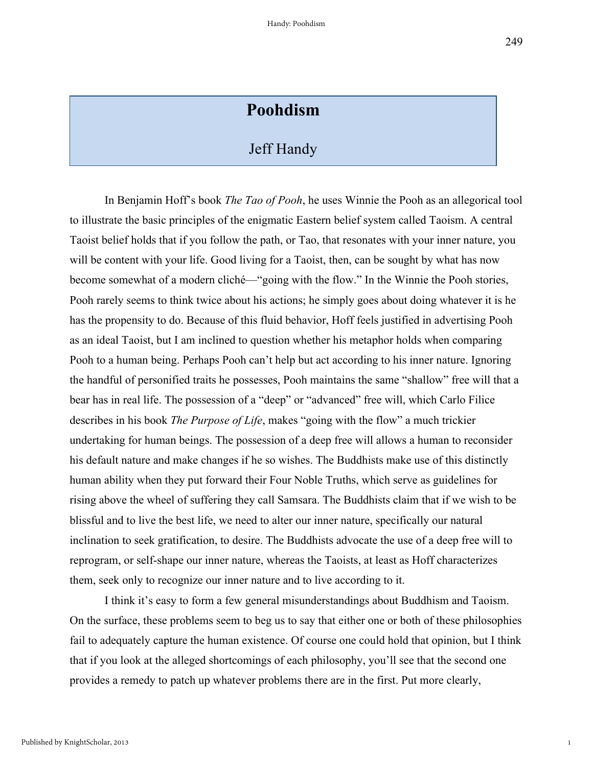1

## **Poohdism**

## Jeff Handy

In Benjamin Hoff's book *The Tao of Pooh*, he uses Winnie the Pooh as an allegorical tool to illustrate the basic principles of the enigmatic Eastern belief system called Taoism. A central Taoist belief holds that if you follow the path, or Tao, that resonates with your inner nature, you will be content with your life. Good living for a Taoist, then, can be sought by what has now become somewhat of a modern cliché—"going with the flow." In the Winnie the Pooh stories, Pooh rarely seems to think twice about his actions; he simply goes about doing whatever it is he has the propensity to do. Because of this fluid behavior, Hoff feels justified in advertising Pooh as an ideal Taoist, but I am inclined to question whether his metaphor holds when comparing Pooh to a human being. Perhaps Pooh can't help but act according to his inner nature. Ignoring the handful of personified traits he possesses, Pooh maintains the same "shallow" free will that a bear has in real life. The possession of a "deep" or "advanced" free will, which Carlo Filice describes in his book *The Purpose of Life*, makes "going with the flow" a much trickier undertaking for human beings. The possession of a deep free will allows a human to reconsider his default nature and make changes if he so wishes. The Buddhists make use of this distinctly human ability when they put forward their Four Noble Truths, which serve as guidelines for rising above the wheel of suffering they call Samsara. The Buddhists claim that if we wish to be blissful and to live the best life, we need to alter our inner nature, specifically our natural inclination to seek gratification, to desire. The Buddhists advocate the use of a deep free will to reprogram, or self-shape our inner nature, whereas the Taoists, at least as Hoff characterizes them, seek only to recognize our inner nature and to live according to it.

I think it's easy to form a few general misunderstandings about Buddhism and Taoism. On the surface, these problems seem to beg us to say that either one or both of these philosophies fail to adequately capture the human existence. Of course one could hold that opinion, but I think that if you look at the alleged shortcomings of each philosophy, you'll see that the second one provides a remedy to patch up whatever problems there are in the first. Put more clearly,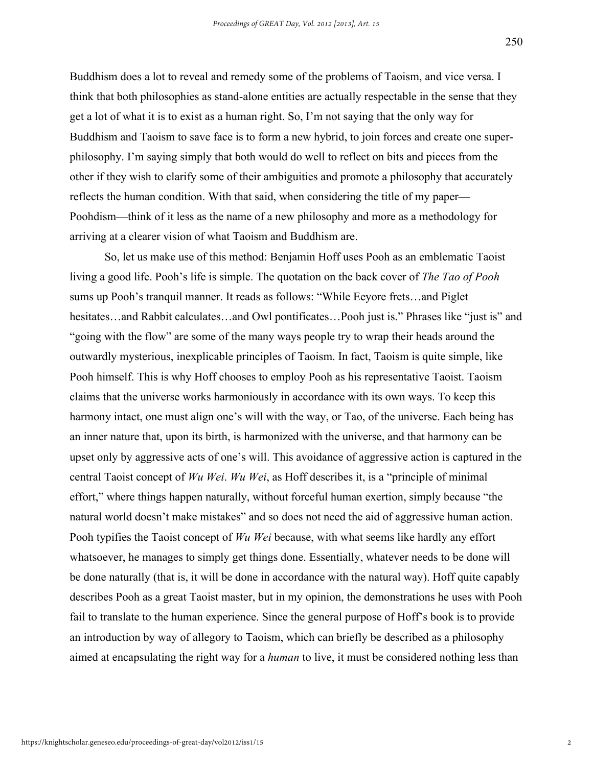Buddhism does a lot to reveal and remedy some of the problems of Taoism, and vice versa. I think that both philosophies as stand-alone entities are actually respectable in the sense that they get a lot of what it is to exist as a human right. So, I'm not saying that the only way for Buddhism and Taoism to save face is to form a new hybrid, to join forces and create one superphilosophy. I'm saying simply that both would do well to reflect on bits and pieces from the other if they wish to clarify some of their ambiguities and promote a philosophy that accurately reflects the human condition. With that said, when considering the title of my paper— Poohdism—think of it less as the name of a new philosophy and more as a methodology for arriving at a clearer vision of what Taoism and Buddhism are.

So, let us make use of this method: Benjamin Hoff uses Pooh as an emblematic Taoist living a good life. Pooh's life is simple. The quotation on the back cover of *The Tao of Pooh* sums up Pooh's tranquil manner. It reads as follows: "While Eeyore frets…and Piglet hesitates…and Rabbit calculates…and Owl pontificates…Pooh just is." Phrases like "just is" and "going with the flow" are some of the many ways people try to wrap their heads around the outwardly mysterious, inexplicable principles of Taoism. In fact, Taoism is quite simple, like Pooh himself. This is why Hoff chooses to employ Pooh as his representative Taoist. Taoism claims that the universe works harmoniously in accordance with its own ways. To keep this harmony intact, one must align one's will with the way, or Tao, of the universe. Each being has an inner nature that, upon its birth, is harmonized with the universe, and that harmony can be upset only by aggressive acts of one's will. This avoidance of aggressive action is captured in the central Taoist concept of *Wu Wei*. *Wu Wei*, as Hoff describes it, is a "principle of minimal effort," where things happen naturally, without forceful human exertion, simply because "the natural world doesn't make mistakes" and so does not need the aid of aggressive human action. Pooh typifies the Taoist concept of *Wu Wei* because, with what seems like hardly any effort whatsoever, he manages to simply get things done. Essentially, whatever needs to be done will be done naturally (that is, it will be done in accordance with the natural way). Hoff quite capably describes Pooh as a great Taoist master, but in my opinion, the demonstrations he uses with Pooh fail to translate to the human experience. Since the general purpose of Hoff's book is to provide an introduction by way of allegory to Taoism, which can briefly be described as a philosophy aimed at encapsulating the right way for a *human* to live, it must be considered nothing less than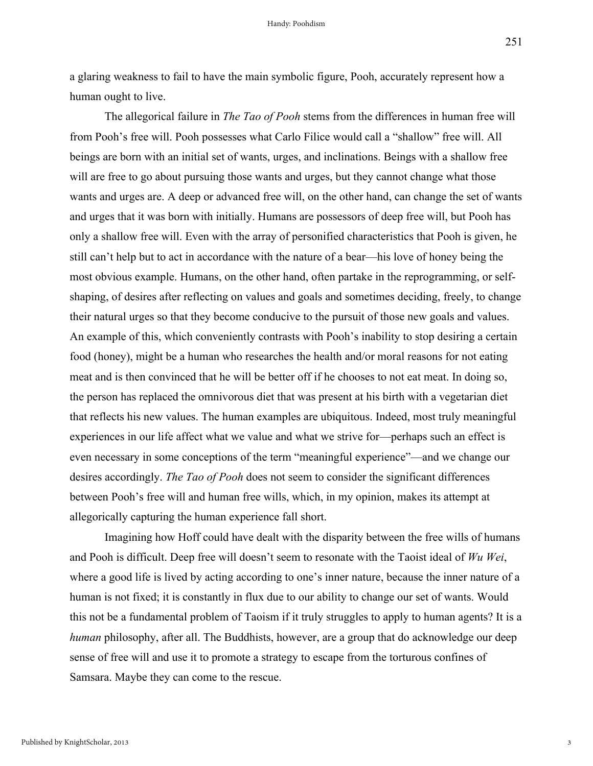a glaring weakness to fail to have the main symbolic figure, Pooh, accurately represent how a human ought to live.

The allegorical failure in *The Tao of Pooh* stems from the differences in human free will from Pooh's free will. Pooh possesses what Carlo Filice would call a "shallow" free will. All beings are born with an initial set of wants, urges, and inclinations. Beings with a shallow free will are free to go about pursuing those wants and urges, but they cannot change what those wants and urges are. A deep or advanced free will, on the other hand, can change the set of wants and urges that it was born with initially. Humans are possessors of deep free will, but Pooh has only a shallow free will. Even with the array of personified characteristics that Pooh is given, he still can't help but to act in accordance with the nature of a bear—his love of honey being the most obvious example. Humans, on the other hand, often partake in the reprogramming, or selfshaping, of desires after reflecting on values and goals and sometimes deciding, freely, to change their natural urges so that they become conducive to the pursuit of those new goals and values. An example of this, which conveniently contrasts with Pooh's inability to stop desiring a certain food (honey), might be a human who researches the health and/or moral reasons for not eating meat and is then convinced that he will be better off if he chooses to not eat meat. In doing so, the person has replaced the omnivorous diet that was present at his birth with a vegetarian diet that reflects his new values. The human examples are ubiquitous. Indeed, most truly meaningful experiences in our life affect what we value and what we strive for—perhaps such an effect is even necessary in some conceptions of the term "meaningful experience"—and we change our desires accordingly. *The Tao of Pooh* does not seem to consider the significant differences between Pooh's free will and human free wills, which, in my opinion, makes its attempt at allegorically capturing the human experience fall short.

Imagining how Hoff could have dealt with the disparity between the free wills of humans and Pooh is difficult. Deep free will doesn't seem to resonate with the Taoist ideal of *Wu Wei*, where a good life is lived by acting according to one's inner nature, because the inner nature of a human is not fixed; it is constantly in flux due to our ability to change our set of wants. Would this not be a fundamental problem of Taoism if it truly struggles to apply to human agents? It is a *human* philosophy, after all. The Buddhists, however, are a group that do acknowledge our deep sense of free will and use it to promote a strategy to escape from the torturous confines of Samsara. Maybe they can come to the rescue.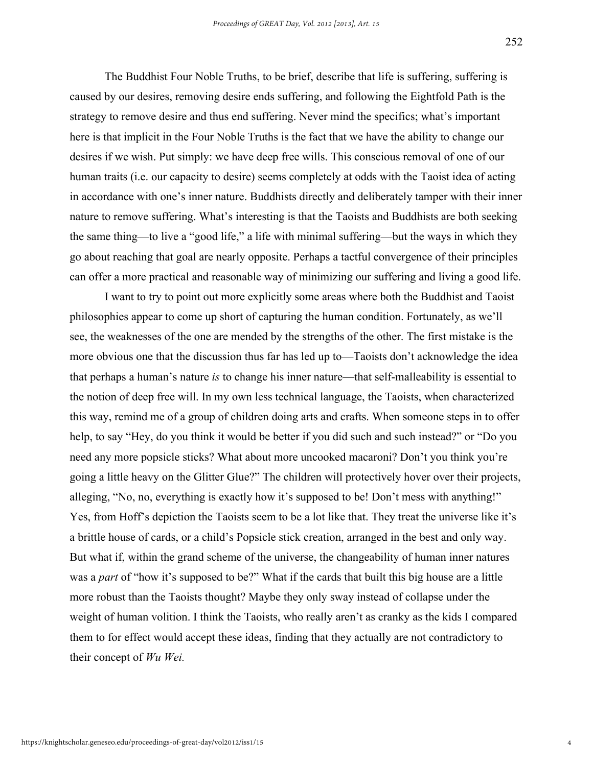The Buddhist Four Noble Truths, to be brief, describe that life is suffering, suffering is caused by our desires, removing desire ends suffering, and following the Eightfold Path is the strategy to remove desire and thus end suffering. Never mind the specifics; what's important here is that implicit in the Four Noble Truths is the fact that we have the ability to change our desires if we wish. Put simply: we have deep free wills. This conscious removal of one of our human traits (i.e. our capacity to desire) seems completely at odds with the Taoist idea of acting in accordance with one's inner nature. Buddhists directly and deliberately tamper with their inner nature to remove suffering. What's interesting is that the Taoists and Buddhists are both seeking the same thing—to live a "good life," a life with minimal suffering—but the ways in which they go about reaching that goal are nearly opposite. Perhaps a tactful convergence of their principles can offer a more practical and reasonable way of minimizing our suffering and living a good life.

I want to try to point out more explicitly some areas where both the Buddhist and Taoist philosophies appear to come up short of capturing the human condition. Fortunately, as we'll see, the weaknesses of the one are mended by the strengths of the other. The first mistake is the more obvious one that the discussion thus far has led up to—Taoists don't acknowledge the idea that perhaps a human's nature *is* to change his inner nature—that self-malleability is essential to the notion of deep free will. In my own less technical language, the Taoists, when characterized this way, remind me of a group of children doing arts and crafts. When someone steps in to offer help, to say "Hey, do you think it would be better if you did such and such instead?" or "Do you need any more popsicle sticks? What about more uncooked macaroni? Don't you think you're going a little heavy on the Glitter Glue?" The children will protectively hover over their projects, alleging, "No, no, everything is exactly how it's supposed to be! Don't mess with anything!" Yes, from Hoff's depiction the Taoists seem to be a lot like that. They treat the universe like it's a brittle house of cards, or a child's Popsicle stick creation, arranged in the best and only way. But what if, within the grand scheme of the universe, the changeability of human inner natures was a *part* of "how it's supposed to be?" What if the cards that built this big house are a little more robust than the Taoists thought? Maybe they only sway instead of collapse under the weight of human volition. I think the Taoists, who really aren't as cranky as the kids I compared them to for effect would accept these ideas, finding that they actually are not contradictory to their concept of *Wu Wei.*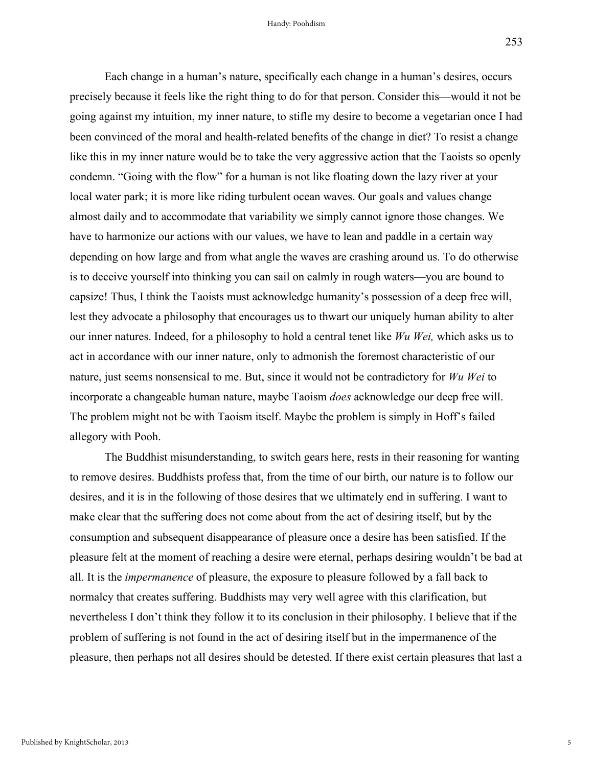Each change in a human's nature, specifically each change in a human's desires, occurs precisely because it feels like the right thing to do for that person. Consider this—would it not be going against my intuition, my inner nature, to stifle my desire to become a vegetarian once I had been convinced of the moral and health-related benefits of the change in diet? To resist a change like this in my inner nature would be to take the very aggressive action that the Taoists so openly condemn. "Going with the flow" for a human is not like floating down the lazy river at your local water park; it is more like riding turbulent ocean waves. Our goals and values change almost daily and to accommodate that variability we simply cannot ignore those changes. We have to harmonize our actions with our values, we have to lean and paddle in a certain way depending on how large and from what angle the waves are crashing around us. To do otherwise is to deceive yourself into thinking you can sail on calmly in rough waters—you are bound to capsize! Thus, I think the Taoists must acknowledge humanity's possession of a deep free will, lest they advocate a philosophy that encourages us to thwart our uniquely human ability to alter our inner natures. Indeed, for a philosophy to hold a central tenet like *Wu Wei,* which asks us to act in accordance with our inner nature, only to admonish the foremost characteristic of our nature, just seems nonsensical to me. But, since it would not be contradictory for *Wu Wei* to incorporate a changeable human nature, maybe Taoism *does* acknowledge our deep free will. The problem might not be with Taoism itself. Maybe the problem is simply in Hoff's failed allegory with Pooh.

The Buddhist misunderstanding, to switch gears here, rests in their reasoning for wanting to remove desires. Buddhists profess that, from the time of our birth, our nature is to follow our desires, and it is in the following of those desires that we ultimately end in suffering. I want to make clear that the suffering does not come about from the act of desiring itself, but by the consumption and subsequent disappearance of pleasure once a desire has been satisfied. If the pleasure felt at the moment of reaching a desire were eternal, perhaps desiring wouldn't be bad at all. It is the *impermanence* of pleasure, the exposure to pleasure followed by a fall back to normalcy that creates suffering. Buddhists may very well agree with this clarification, but nevertheless I don't think they follow it to its conclusion in their philosophy. I believe that if the problem of suffering is not found in the act of desiring itself but in the impermanence of the pleasure, then perhaps not all desires should be detested. If there exist certain pleasures that last a